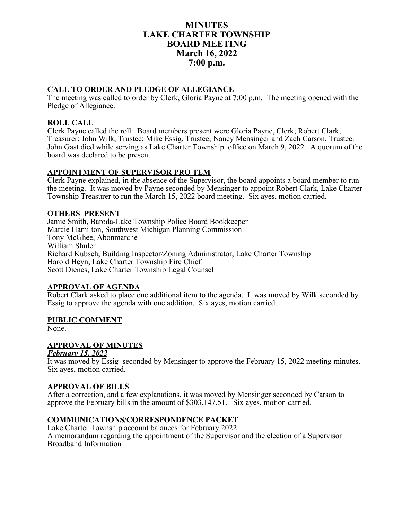# **MINUTES LAKE CHARTER TOWNSHIP BOARD MEETING March 16, 2022 7:00 p.m.**

# **CALL TO ORDER AND PLEDGE OF ALLEGIANCE**

The meeting was called to order by Clerk, Gloria Payne at 7:00 p.m. The meeting opened with the Pledge of Allegiance.

# **ROLL CALL**

Clerk Payne called the roll. Board members present were Gloria Payne, Clerk; Robert Clark, Treasurer; John Wilk, Trustee; Mike Essig, Trustee; Nancy Mensinger and Zach Carson, Trustee. John Gast died while serving as Lake Charter Township office on March 9, 2022. A quorum of the board was declared to be present.

## **APPOINTMENT OF SUPERVISOR PRO TEM**

Clerk Payne explained, in the absence of the Supervisor, the board appoints a board member to run the meeting. It was moved by Payne seconded by Mensinger to appoint Robert Clark, Lake Charter Township Treasurer to run the March 15, 2022 board meeting. Six ayes, motion carried.

## **OTHERS PRESENT**

Jamie Smith, Baroda-Lake Township Police Board Bookkeeper Marcie Hamilton, Southwest Michigan Planning Commission Tony McGhee, Abonmarche William Shuler Richard Kubsch, Building Inspector/Zoning Administrator, Lake Charter Township Harold Heyn, Lake Charter Township Fire Chief Scott Dienes, Lake Charter Township Legal Counsel

## **APPROVAL OF AGENDA**

Robert Clark asked to place one additional item to the agenda. It was moved by Wilk seconded by Essig to approve the agenda with one addition. Six ayes, motion carried.

## **PUBLIC COMMENT**

None.

## **APPROVAL OF MINUTES**

*February 15, 2022*

It was moved by Essig seconded by Mensinger to approve the February 15, 2022 meeting minutes. Six ayes, motion carried.

## **APPROVAL OF BILLS**

After a correction, and a few explanations, it was moved by Mensinger seconded by Carson to approve the February bills in the amount of \$303,147.51. Six ayes, motion carried.

## **COMMUNICATIONS/CORRESPONDENCE PACKET**

Lake Charter Township account balances for February 2022 A memorandum regarding the appointment of the Supervisor and the election of a Supervisor Broadband Information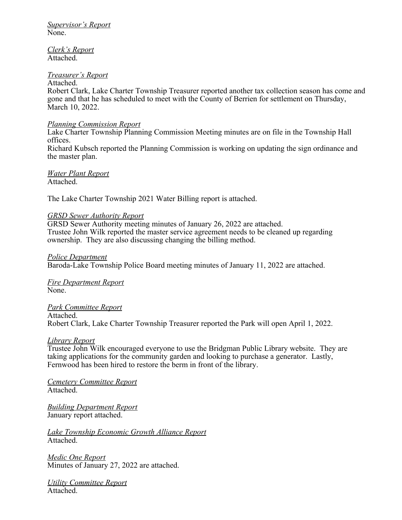*Supervisor's Report* None.

*Clerk's Report* Attached.

### *Treasurer's Report*

### Attached.

Robert Clark, Lake Charter Township Treasurer reported another tax collection season has come and gone and that he has scheduled to meet with the County of Berrien for settlement on Thursday, March 10, 2022.

### *Planning Commission Report*

Lake Charter Township Planning Commission Meeting minutes are on file in the Township Hall offices.

Richard Kubsch reported the Planning Commission is working on updating the sign ordinance and the master plan.

*Water Plant Report* Attached.

The Lake Charter Township 2021 Water Billing report is attached.

### *GRSD Sewer Authority Report*

GRSD Sewer Authority meeting minutes of January 26, 2022 are attached. Trustee John Wilk reported the master service agreement needs to be cleaned up regarding ownership. They are also discussing changing the billing method.

*Police Department*

Baroda-Lake Township Police Board meeting minutes of January 11, 2022 are attached.

*Fire Department Report* None.

# *Park Committee Report*

Attached. Robert Clark, Lake Charter Township Treasurer reported the Park will open April 1, 2022.

### *Library Report*

Trustee John Wilk encouraged everyone to use the Bridgman Public Library website. They are taking applications for the community garden and looking to purchase a generator. Lastly, Fernwood has been hired to restore the berm in front of the library.

*Cemetery Committee Report* Attached.

*Building Department Report* January report attached.

*Lake Township Economic Growth Alliance Report* Attached.

*Medic One Report* Minutes of January 27, 2022 are attached.

*Utility Committee Report* Attached.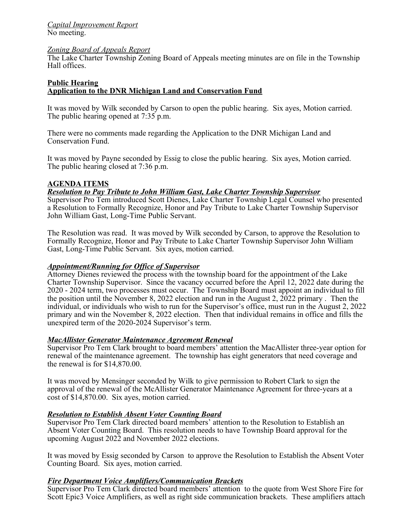### *Capital Improvement Report* No meeting.

### *Zoning Board of Appeals Report*

The Lake Charter Township Zoning Board of Appeals meeting minutes are on file in the Township Hall offices.

### **Public Hearing Application to the DNR Michigan Land and Conservation Fund**

It was moved by Wilk seconded by Carson to open the public hearing. Six ayes, Motion carried. The public hearing opened at 7:35 p.m.

There were no comments made regarding the Application to the DNR Michigan Land and Conservation Fund.

It was moved by Payne seconded by Essig to close the public hearing. Six ayes, Motion carried. The public hearing closed at 7:36 p.m.

## **AGENDA ITEMS**

### *Resolution to Pay Tribute to John William Gast, Lake Charter Township Supervisor*

Supervisor Pro Tem introduced Scott Dienes, Lake Charter Township Legal Counsel who presented a Resolution to Formally Recognize, Honor and Pay Tribute to Lake Charter Township Supervisor John William Gast, Long-Time Public Servant.

The Resolution was read. It was moved by Wilk seconded by Carson, to approve the Resolution to Formally Recognize, Honor and Pay Tribute to Lake Charter Township Supervisor John William Gast, Long-Time Public Servant. Six ayes, motion carried.

## *Appointment/Running for Office of Supervisor*

Attorney Dienes reviewed the process with the township board for the appointment of the Lake Charter Township Supervisor. Since the vacancy occurred before the April 12, 2022 date during the 2020 - 2024 term, two processes must occur. The Township Board must appoint an individual to fill the position until the November 8, 2022 election and run in the August 2, 2022 primary . Then the individual, or individuals who wish to run for the Supervisor's office, must run in the August 2, 2022 primary and win the November 8, 2022 election. Then that individual remains in office and fills the unexpired term of the 2020-2024 Supervisor's term.

## *MacAllister Generator Maintenance Agreement Renewal*

Supervisor Pro Tem Clark brought to board members' attention the MacAllister three-year option for renewal of the maintenance agreement. The township has eight generators that need coverage and the renewal is for \$14,870.00.

It was moved by Mensinger seconded by Wilk to give permission to Robert Clark to sign the approval of the renewal of the McAllister Generator Maintenance Agreement for three-years at a cost of \$14,870.00. Six ayes, motion carried.

### *Resolution to Establish Absent Voter Counting Board*

Supervisor Pro Tem Clark directed board members' attention to the Resolution to Establish an Absent Voter Counting Board. This resolution needs to have Township Board approval for the upcoming August 2022 and November 2022 elections.

It was moved by Essig seconded by Carson to approve the Resolution to Establish the Absent Voter Counting Board. Six ayes, motion carried.

## *Fire Department Voice Amplifiers/Communication Brackets*

Supervisor Pro Tem Clark directed board members' attention to the quote from West Shore Fire for Scott Epic3 Voice Amplifiers, as well as right side communication brackets. These amplifiers attach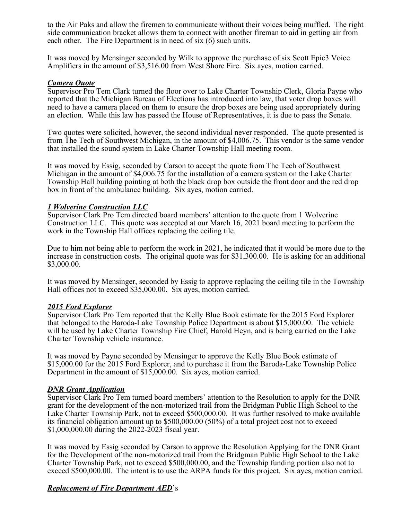to the Air Paks and allow the firemen to communicate without their voices being muffled. The right side communication bracket allows them to connect with another fireman to aid in getting air from each other. The Fire Department is in need of six (6) such units.

It was moved by Mensinger seconded by Wilk to approve the purchase of six Scott Epic3 Voice Amplifiers in the amount of \$3,516.00 from West Shore Fire. Six ayes, motion carried.

### *Camera Quote*

Supervisor Pro Tem Clark turned the floor over to Lake Charter Township Clerk, Gloria Payne who reported that the Michigan Bureau of Elections has introduced into law, that voter drop boxes will need to have a camera placed on them to ensure the drop boxes are being used appropriately during an election. While this law has passed the House of Representatives, it is due to pass the Senate.

Two quotes were solicited, however, the second individual never responded. The quote presented is from The Tech of Southwest Michigan, in the amount of \$4,006.75. This vendor is the same vendor that installed the sound system in Lake Charter Township Hall meeting room.

It was moved by Essig, seconded by Carson to accept the quote from The Tech of Southwest Michigan in the amount of \$4,006.75 for the installation of a camera system on the Lake Charter Township Hall building pointing at both the black drop box outside the front door and the red drop box in front of the ambulance building. Six ayes, motion carried.

### *1 Wolverine Construction LLC*

Supervisor Clark Pro Tem directed board members' attention to the quote from 1 Wolverine Construction LLC. This quote was accepted at our March 16, 2021 board meeting to perform the work in the Township Hall offices replacing the ceiling tile.

Due to him not being able to perform the work in 2021, he indicated that it would be more due to the increase in construction costs. The original quote was for \$31,300.00. He is asking for an additional \$3,000.00.

It was moved by Mensinger, seconded by Essig to approve replacing the ceiling tile in the Township Hall offices not to exceed \$35,000.00. Six ayes, motion carried.

### *2015 Ford Explorer*

Supervisor Clark Pro Tem reported that the Kelly Blue Book estimate for the 2015 Ford Explorer that belonged to the Baroda-Lake Township Police Department is about \$15,000.00. The vehicle will be used by Lake Charter Township Fire Chief, Harold Heyn, and is being carried on the Lake Charter Township vehicle insurance.

It was moved by Payne seconded by Mensinger to approve the Kelly Blue Book estimate of \$15,000.00 for the 2015 Ford Explorer, and to purchase it from the Baroda-Lake Township Police Department in the amount of \$15,000.00. Six ayes, motion carried.

### *DNR Grant Application*

Supervisor Clark Pro Tem turned board members' attention to the Resolution to apply for the DNR grant for the development of the non-motorized trail from the Bridgman Public High School to the Lake Charter Township Park, not to exceed \$500,000.00. It was further resolved to make available its financial obligation amount up to \$500,000.00 (50%) of a total project cost not to exceed \$1,000,000.00 during the 2022-2023 fiscal year.

It was moved by Essig seconded by Carson to approve the Resolution Applying for the DNR Grant for the Development of the non-motorized trail from the Bridgman Public High School to the Lake Charter Township Park, not to exceed \$500,000.00, and the Township funding portion also not to exceed \$500,000.00. The intent is to use the ARPA funds for this project. Six ayes, motion carried.

# *Replacement of Fire Department AED*'s